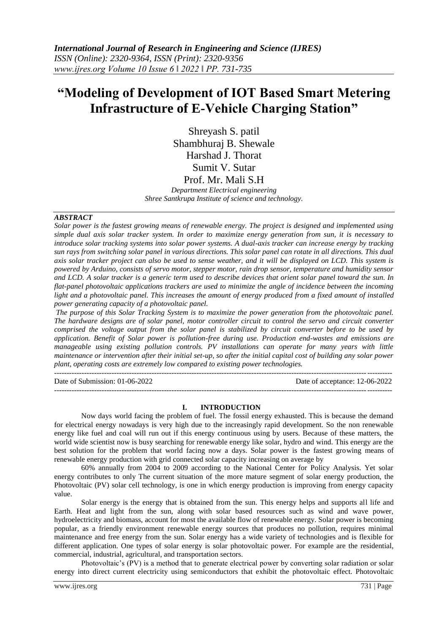# **"Modeling of Development of IOT Based Smart Metering Infrastructure of E-Vehicle Charging Station"**

Shreyash S. patil Shambhuraj B. Shewale Harshad J. Thorat Sumit V. Sutar Prof. Mr. Mali S.H

*Department Electrical engineering Shree Santkrupa Institute of science and technology.*

#### *ABSTRACT*

*Solar power is the fastest growing means of renewable energy. The project is designed and implemented using simple dual axis solar tracker system. In order to maximize energy generation from sun, it is necessary to introduce solar tracking systems into solar power systems. A dual-axis tracker can increase energy by tracking sun rays from switching solar panel in various directions. This solar panel can rotate in all directions. This dual axis solar tracker project can also be used to sense weather, and it will be displayed on LCD. This system is powered by Arduino, consists of servo motor, stepper motor, rain drop sensor, temperature and humidity sensor and LCD. A solar tracker is a generic term used to describe devices that orient solar panel toward the sun. In flat-panel photovoltaic applications trackers are used to minimize the angle of incidence between the incoming light and a photovoltaic panel. This increases the amount of energy produced from a fixed amount of installed power generating capacity of a photovoltaic panel.*

*The purpose of this Solar Tracking System is to maximize the power generation from the photovoltaic panel. The hardware designs are of solar panel, motor controller circuit to control the servo and circuit converter comprised the voltage output from the solar panel is stabilized by circuit converter before to be used by application. Benefit of Solar power is pollution-free during use. Production end-wastes and emissions are manageable using existing pollution controls. PV installations can operate for many years with little maintenance or intervention after their initial set-up, so after the initial capital cost of building any solar power plant, operating costs are extremely low compared to existing power technologies.*

 $-1\leq i\leq n-1$ Date of Submission: 01-06-2022 Date of acceptance: 12-06-2022 ---------------------------------------------------------------------------------------------------------------------------------------

#### **I. INTRODUCTION**

Now days world facing the problem of fuel. The fossil energy exhausted. This is because the demand for electrical energy nowadays is very high due to the increasingly rapid development. So the non renewable energy like fuel and coal will run out if this energy continuous using by users. Because of these matters, the world wide scientist now is busy searching for renewable energy like solar, hydro and wind. This energy are the best solution for the problem that world facing now a days. Solar power is the fastest growing means of renewable energy production with grid connected solar capacity increasing on average by

60% annually from 2004 to 2009 according to the National Center for Policy Analysis. Yet solar energy contributes to only The current situation of the more mature segment of solar energy production, the Photovoltaic (PV) solar cell technology, is one in which energy production is improving from energy capacity value.

Solar energy is the energy that is obtained from the sun. This energy helps and supports all life and Earth. Heat and light from the sun, along with solar based resources such as wind and wave power, hydroelectricity and biomass, account for most the available flow of renewable energy. Solar power is becoming popular, as a friendly environment renewable energy sources that produces no pollution, requires minimal maintenance and free energy from the sun. Solar energy has a wide variety of technologies and is flexible for different application. One types of solar energy is solar photovoltaic power. For example are the residential, commercial, industrial, agricultural, and transportation sectors.

Photovoltaic's (PV) is a method that to generate electrical power by converting solar radiation or solar energy into direct current electricity using semiconductors that exhibit the photovoltaic effect. Photovoltaic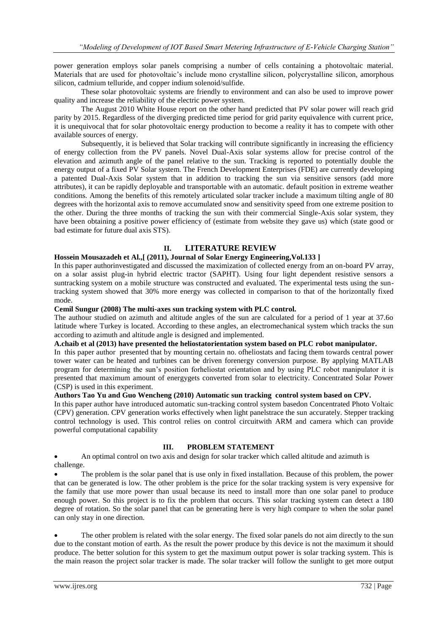power generation employs solar panels comprising a number of cells containing a photovoltaic material. Materials that are used for photovoltaic's include mono crystalline silicon, polycrystalline silicon, amorphous silicon, cadmium telluride, and copper indium solenoid/sulfide.

These solar photovoltaic systems are friendly to environment and can also be used to improve power quality and increase the reliability of the electric power system.

The August 2010 White House report on the other hand predicted that PV solar power will reach grid parity by 2015. Regardless of the diverging predicted time period for grid parity equivalence with current price, it is unequivocal that for solar photovoltaic energy production to become a reality it has to compete with other available sources of energy.

Subsequently, it is believed that Solar tracking will contribute significantly in increasing the efficiency of energy collection from the PV panels. Novel Dual-Axis solar systems allow for precise control of the elevation and azimuth angle of the panel relative to the sun. Tracking is reported to potentially double the energy output of a fixed PV Solar system. The French Development Enterprises (FDE) are currently developing a patented Dual-Axis Solar system that in addition to tracking the sun via sensitive sensors (add more attributes), it can be rapidly deployable and transportable with an automatic. default position in extreme weather conditions. Among the benefits of this remotely articulated solar tracker include a maximum tilting angle of 80 degrees with the horizontal axis to remove accumulated snow and sensitivity speed from one extreme position to the other. During the three months of tracking the sun with their commercial Single-Axis solar system, they have been obtaining a positive power efficiency of (estimate from website they gave us) which (state good or bad estimate for future dual axis STS).

## **II. LITERATURE REVIEW**

## **Hossein Mousazadeh et Al.,[ (2011), Journal of Solar Energy Engineering,Vol.133 ]**

In this paper authorinvestigated and discussed the maximization of collected energy from an on-board PV array, on a solar assist plug-in hybrid electric tractor (SAPHT). Using four light dependent resistive sensors a suntracking system on a mobile structure was constructed and evaluated. The experimental tests using the suntracking system showed that 30% more energy was collected in comparison to that of the horizontally fixed mode.

## **Cemil Sungur (2008) The multi-axes sun tracking system with PLC control.**

The authour studied on azimuth and altitude angles of the sun are calculated for a period of 1 year at 37.6o latitude where Turkey is located. According to these angles, an electromechanical system which tracks the sun according to azimuth and altitude angle is designed and implemented.

# **A.chaib et al (2013) have presented the heliostatorientation system based on PLC robot manipulator.**

In this paper author presented that by mounting certain no. ofheliostats and facing them towards central power tower water can be heated and turbines can be driven forenergy conversion purpose. By applying MATLAB program for determining the sun's position forheliostat orientation and by using PLC robot manipulator it is presented that maximum amount of energygets converted from solar to electricity. Concentrated Solar Power (CSP) is used in this experiment.

# **Authors Tao Yu and Guo Wencheng (2010) Automatic sun tracking control system based on CPV.**

In this paper author have introduced automatic sun-tracking control system basedon Concentrated Photo Voltaic (CPV) generation. CPV generation works effectively when light panelstrace the sun accurately. Stepper tracking control technology is used. This control relies on control circuitwith ARM and camera which can provide powerful computational capability

#### **III. PROBLEM STATEMENT**

 An optimal control on two axis and design for solar tracker which called altitude and azimuth is challenge.

 The problem is the solar panel that is use only in fixed installation. Because of this problem, the power that can be generated is low. The other problem is the price for the solar tracking system is very expensive for the family that use more power than usual because its need to install more than one solar panel to produce enough power. So this project is to fix the problem that occurs. This solar tracking system can detect a 180 degree of rotation. So the solar panel that can be generating here is very high compare to when the solar panel can only stay in one direction.

 The other problem is related with the solar energy. The fixed solar panels do not aim directly to the sun due to the constant motion of earth. As the result the power produce by this device is not the maximum it should produce. The better solution for this system to get the maximum output power is solar tracking system. This is the main reason the project solar tracker is made. The solar tracker will follow the sunlight to get more output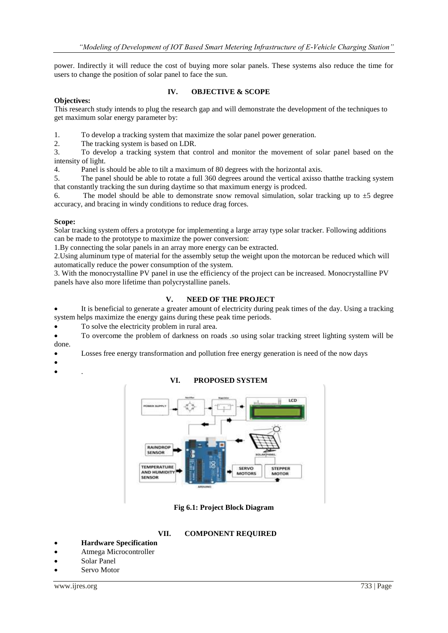power. Indirectly it will reduce the cost of buying more solar panels. These systems also reduce the time for users to change the position of solar panel to face the sun.

## **Objectives:**

## **IV. OBJECTIVE & SCOPE**

This research study intends to plug the research gap and will demonstrate the development of the techniques to get maximum solar energy parameter by:

1. To develop a tracking system that maximize the solar panel power generation.

2. The tracking system is based on LDR.

3. To develop a tracking system that control and monitor the movement of solar panel based on the intensity of light.

4. Panel is should be able to tilt a maximum of 80 degrees with the horizontal axis.

5. The panel should be able to rotate a full 360 degrees around the vertical axisso thatthe tracking system that constantly tracking the sun during daytime so that maximum energy is prodced.

6. The model should be able to demonstrate snow removal simulation, solar tracking up to  $\pm 5$  degree accuracy, and bracing in windy conditions to reduce drag forces.

## **Scope:**

Solar tracking system offers a prototype for implementing a large array type solar tracker. Following additions can be made to the prototype to maximize the power conversion:

1.By connecting the solar panels in an array more energy can be extracted.

2.Using aluminum type of material for the assembly setup the weight upon the motorcan be reduced which will automatically reduce the power consumption of the system.

3. With the monocrystalline PV panel in use the efficiency of the project can be increased. Monocrystalline PV panels have also more lifetime than polycrystalline panels.

# **V. NEED OF THE PROJECT**

 It is beneficial to generate a greater amount of electricity during peak times of the day. Using a tracking system helps maximize the energy gains during these peak time periods.

To solve the electricity problem in rural area.

 To overcome the problem of darkness on roads .so using solar tracking street lighting system will be done.

Losses free energy transformation and pollution free energy generation is need of the now days

- $\bullet$
- $\bullet$  .

## **VI. PROPOSED SYSTEM**



**Fig 6.1: Project Block Diagram**

## **VII. COMPONENT REQUIRED**

- **Hardware Specification**
- Atmega Microcontroller
- Solar Panel
- Servo Motor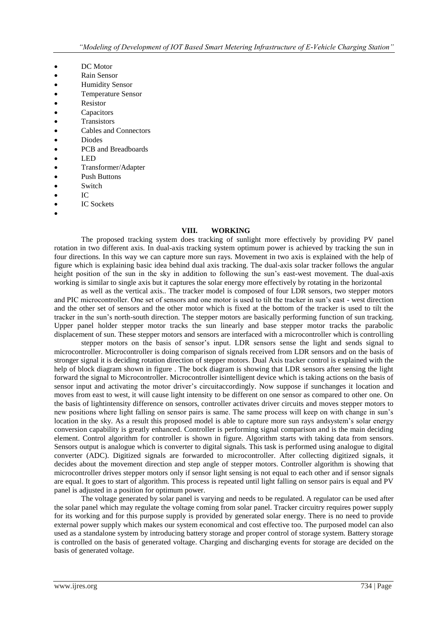- DC Motor
- Rain Sensor
- Humidity Sensor
- Temperature Sensor
- Resistor
- Capacitors
- **•** Transistors
- Cables and Connectors
- Diodes
- PCB and Breadboards
- LED
- Transformer/Adapter
- Push Buttons
- Switch
- IC
- IC Sockets
- $\bullet$

#### **VIII. WORKING**

The proposed tracking system does tracking of sunlight more effectively by providing PV panel rotation in two different axis. In dual-axis tracking system optimum power is achieved by tracking the sun in four directions. In this way we can capture more sun rays. Movement in two axis is explained with the help of figure which is explaining basic idea behind dual axis tracking. The dual-axis solar tracker follows the angular height position of the sun in the sky in addition to following the sun's east-west movement. The dual-axis working is similar to single axis but it captures the solar energy more effectively by rotating in the horizontal

as well as the vertical axis.. The tracker model is composed of four LDR sensors, two stepper motors and PIC microcontroller. One set of sensors and one motor is used to tilt the tracker in sun's east - west direction and the other set of sensors and the other motor which is fixed at the bottom of the tracker is used to tilt the tracker in the sun's north-south direction. The stepper motors are basically performing function of sun tracking. Upper panel holder stepper motor tracks the sun linearly and base stepper motor tracks the parabolic displacement of sun. These stepper motors and sensors are interfaced with a microcontroller which is controlling

stepper motors on the basis of sensor's input. LDR sensors sense the light and sends signal to microcontroller. Microcontroller is doing comparison of signals received from LDR sensors and on the basis of stronger signal it is deciding rotation direction of stepper motors. Dual Axis tracker control is explained with the help of block diagram shown in figure . The bock diagram is showing that LDR sensors after sensing the light forward the signal to Microcontroller. Microcontroller isintelligent device which is taking actions on the basis of sensor input and activating the motor driver's circuitaccordingly. Now suppose if sunchanges it location and moves from east to west, it will cause light intensity to be different on one sensor as compared to other one. On the basis of lightintensity difference on sensors, controller activates driver circuits and moves stepper motors to new positions where light falling on sensor pairs is same. The same process will keep on with change in sun's location in the sky. As a result this proposed model is able to capture more sun rays andsystem's solar energy conversion capability is greatly enhanced. Controller is performing signal comparison and is the main deciding element. Control algorithm for controller is shown in figure. Algorithm starts with taking data from sensors. Sensors output is analogue which is converter to digital signals. This task is performed using analogue to digital converter (ADC). Digitized signals are forwarded to microcontroller. After collecting digitized signals, it decides about the movement direction and step angle of stepper motors. Controller algorithm is showing that microcontroller drives stepper motors only if sensor light sensing is not equal to each other and if sensor signals are equal. It goes to start of algorithm. This process is repeated until light falling on sensor pairs is equal and PV panel is adjusted in a position for optimum power.

The voltage generated by solar panel is varying and needs to be regulated. A regulator can be used after the solar panel which may regulate the voltage coming from solar panel. Tracker circuitry requires power supply for its working and for this purpose supply is provided by generated solar energy. There is no need to provide external power supply which makes our system economical and cost effective too. The purposed model can also used as a standalone system by introducing battery storage and proper control of storage system. Battery storage is controlled on the basis of generated voltage. Charging and discharging events for storage are decided on the basis of generated voltage.